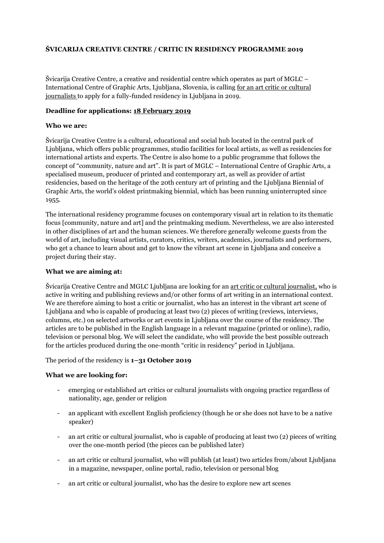## **ŠVICARIJA CREATIVE CENTRE / CRITIC IN RESIDENCY PROGRAMME 2019**

Švicarija Creative Centre, a creative and residential centre which operates as part of MGLC – International Centre of Graphic Arts, Ljubljana, Slovenia, is calling for an art critic or cultural journalists to apply for a fully-funded residency in Ljubljana in 2019.

### **Deadline for applications: 18 February 2019**

### **Who we are:**

Švicarija Creative Centre is a cultural, educational and social hub located in the central park of Ljubljana, which offers public programmes, studio facilities for local artists, as well as residencies for international artists and experts. The Centre is also home to a public programme that follows the concept of "community, nature and art". It is part of MGLC – International Centre of Graphic Arts, a specialised museum, producer of printed and contemporary art, as well as provider of artist residencies, based on the heritage of the 20th century art of printing and the Ljubljana Biennial of Graphic Arts, the world's oldest printmaking biennial, which has been running uninterrupted since 1955.

The international residency programme focuses on contemporary visual art in relation to its thematic focus [community, nature and art] and the printmaking medium. Nevertheless, we are also interested in other disciplines of art and the human sciences. We therefore generally welcome guests from the world of art, including visual artists, curators, critics, writers, academics, journalists and performers, who get a chance to learn about and get to know the vibrant art scene in Ljubljana and conceive a project during their stay.

### **What we are aiming at:**

Švicarija Creative Centre and MGLC Ljubljana are looking for an art critic or cultural journalist, who is active in writing and publishing reviews and/or other forms of art writing in an international context. We are therefore aiming to host a critic or journalist, who has an interest in the vibrant art scene of Ljubljana and who is capable of producing at least two (2) pieces of writing (reviews, interviews, columns, etc.) on selected artworks or art events in Ljubljana over the course of the residency. The articles are to be published in the English language in a relevant magazine (printed or online), radio, television or personal blog. We will select the candidate, who will provide the best possible outreach for the articles produced during the one-month "critic in residency" period in Ljubljana.

#### The period of the residency is **1–31 October 2019**

## **What we are looking for:**

- emerging or established art critics or cultural journalists with ongoing practice regardless of nationality, age, gender or religion
- an applicant with excellent English proficiency (though he or she does not have to be a native speaker)
- an art critic or cultural journalist, who is capable of producing at least two (2) pieces of writing over the one-month period (the pieces can be published later)
- an art critic or cultural journalist, who will publish (at least) two articles from/about Ljubljana in a magazine, newspaper, online portal, radio, television or personal blog
- an art critic or cultural journalist, who has the desire to explore new art scenes